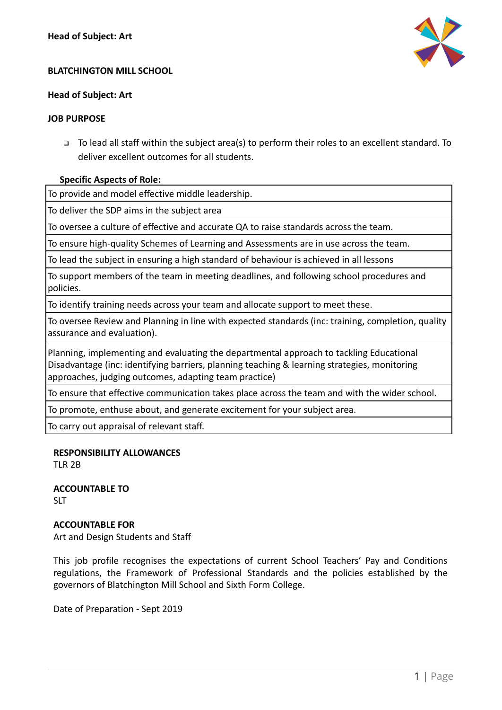

### **BLATCHINGTON MILL SCHOOL**

# **Head of Subject: Art**

### **JOB PURPOSE**

❑ To lead all staff within the subject area(s) to perform their roles to an excellent standard. To deliver excellent outcomes for all students.

# **Specific Aspects of Role:**

To provide and model effective middle leadership.

To deliver the SDP aims in the subject area

To oversee a culture of effective and accurate QA to raise standards across the team.

To ensure high-quality Schemes of Learning and Assessments are in use across the team.

To lead the subject in ensuring a high standard of behaviour is achieved in all lessons

To support members of the team in meeting deadlines, and following school procedures and policies.

To identify training needs across your team and allocate support to meet these.

To oversee Review and Planning in line with expected standards (inc: training, completion, quality assurance and evaluation).

Planning, implementing and evaluating the departmental approach to tackling Educational Disadvantage (inc: identifying barriers, planning teaching & learning strategies, monitoring approaches, judging outcomes, adapting team practice)

To ensure that effective communication takes place across the team and with the wider school.

To promote, enthuse about, and generate excitement for your subject area.

To carry out appraisal of relevant staff.

# **RESPONSIBILITY ALLOWANCES**

TLR 2B

**ACCOUNTABLE TO SIT** 

# **ACCOUNTABLE FOR**

Art and Design Students and Staff

This job profile recognises the expectations of current School Teachers' Pay and Conditions regulations, the Framework of Professional Standards and the policies established by the governors of Blatchington Mill School and Sixth Form College.

Date of Preparation - Sept 2019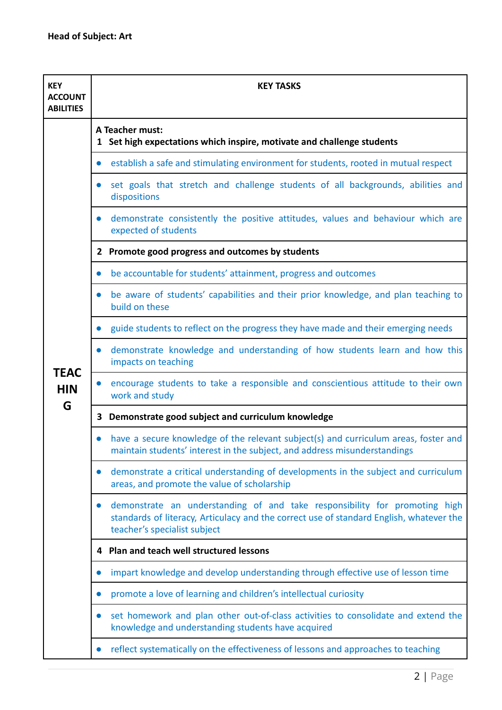| <b>KEY</b><br><b>ACCOUNT</b><br><b>ABILITIES</b> | <b>KEY TASKS</b>                                                                                                                                                                                      |
|--------------------------------------------------|-------------------------------------------------------------------------------------------------------------------------------------------------------------------------------------------------------|
|                                                  | A Teacher must:<br>1 Set high expectations which inspire, motivate and challenge students                                                                                                             |
|                                                  | establish a safe and stimulating environment for students, rooted in mutual respect<br>$\bullet$                                                                                                      |
|                                                  | set goals that stretch and challenge students of all backgrounds, abilities and<br>$\bullet$<br>dispositions                                                                                          |
|                                                  | demonstrate consistently the positive attitudes, values and behaviour which are<br>$\bullet$<br>expected of students                                                                                  |
|                                                  | 2 Promote good progress and outcomes by students                                                                                                                                                      |
|                                                  | be accountable for students' attainment, progress and outcomes<br>$\bullet$                                                                                                                           |
|                                                  | be aware of students' capabilities and their prior knowledge, and plan teaching to<br>$\bullet$<br>build on these                                                                                     |
|                                                  | guide students to reflect on the progress they have made and their emerging needs<br>$\bullet$                                                                                                        |
| <b>TEAC</b><br><b>HIN</b>                        | demonstrate knowledge and understanding of how students learn and how this<br>$\bullet$<br>impacts on teaching                                                                                        |
|                                                  | encourage students to take a responsible and conscientious attitude to their own<br>$\bullet$<br>work and study                                                                                       |
| G                                                | 3 Demonstrate good subject and curriculum knowledge                                                                                                                                                   |
|                                                  | have a secure knowledge of the relevant subject(s) and curriculum areas, foster and<br>maintain students' interest in the subject, and address misunderstandings                                      |
|                                                  | demonstrate a critical understanding of developments in the subject and curriculum<br>areas, and promote the value of scholarship                                                                     |
|                                                  | demonstrate an understanding of and take responsibility for promoting high<br>standards of literacy, Articulacy and the correct use of standard English, whatever the<br>teacher's specialist subject |
|                                                  | Plan and teach well structured lessons<br>4                                                                                                                                                           |
|                                                  | impart knowledge and develop understanding through effective use of lesson time<br>$\bullet$                                                                                                          |
|                                                  | promote a love of learning and children's intellectual curiosity                                                                                                                                      |
|                                                  | set homework and plan other out-of-class activities to consolidate and extend the<br>$\bullet$<br>knowledge and understanding students have acquired                                                  |
|                                                  | reflect systematically on the effectiveness of lessons and approaches to teaching<br>$\bullet$                                                                                                        |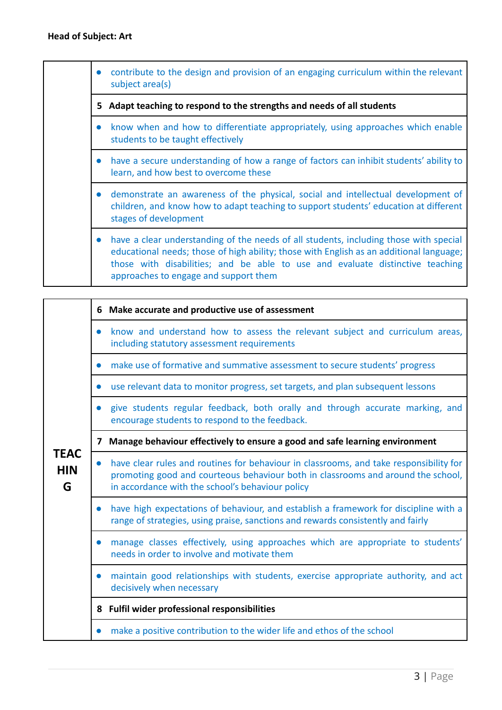|           | contribute to the design and provision of an engaging curriculum within the relevant<br>subject area(s)                                                                                                                                                                                                    |
|-----------|------------------------------------------------------------------------------------------------------------------------------------------------------------------------------------------------------------------------------------------------------------------------------------------------------------|
|           | 5 Adapt teaching to respond to the strengths and needs of all students                                                                                                                                                                                                                                     |
|           | know when and how to differentiate appropriately, using approaches which enable<br>students to be taught effectively                                                                                                                                                                                       |
| $\bullet$ | have a secure understanding of how a range of factors can inhibit students' ability to<br>learn, and how best to overcome these                                                                                                                                                                            |
|           | • demonstrate an awareness of the physical, social and intellectual development of<br>children, and know how to adapt teaching to support students' education at different<br>stages of development                                                                                                        |
| $\bullet$ | have a clear understanding of the needs of all students, including those with special<br>educational needs; those of high ability; those with English as an additional language;<br>those with disabilities; and be able to use and evaluate distinctive teaching<br>approaches to engage and support them |

| <b>TEAC</b><br><b>HIN</b><br>G | 6         | Make accurate and productive use of assessment                                                                                                                                                                                 |
|--------------------------------|-----------|--------------------------------------------------------------------------------------------------------------------------------------------------------------------------------------------------------------------------------|
|                                | $\bullet$ | know and understand how to assess the relevant subject and curriculum areas,<br>including statutory assessment requirements                                                                                                    |
|                                | $\bullet$ | make use of formative and summative assessment to secure students' progress                                                                                                                                                    |
|                                | $\bullet$ | use relevant data to monitor progress, set targets, and plan subsequent lessons                                                                                                                                                |
|                                | $\bullet$ | give students regular feedback, both orally and through accurate marking, and<br>encourage students to respond to the feedback.                                                                                                |
|                                | 7         | Manage behaviour effectively to ensure a good and safe learning environment                                                                                                                                                    |
|                                | $\bullet$ | have clear rules and routines for behaviour in classrooms, and take responsibility for<br>promoting good and courteous behaviour both in classrooms and around the school,<br>in accordance with the school's behaviour policy |
|                                | $\bullet$ | have high expectations of behaviour, and establish a framework for discipline with a<br>range of strategies, using praise, sanctions and rewards consistently and fairly                                                       |
|                                | $\bullet$ | manage classes effectively, using approaches which are appropriate to students'<br>needs in order to involve and motivate them                                                                                                 |
|                                | $\bullet$ | maintain good relationships with students, exercise appropriate authority, and act<br>decisively when necessary                                                                                                                |
|                                |           | 8 Fulfil wider professional responsibilities                                                                                                                                                                                   |
|                                |           | make a positive contribution to the wider life and ethos of the school                                                                                                                                                         |